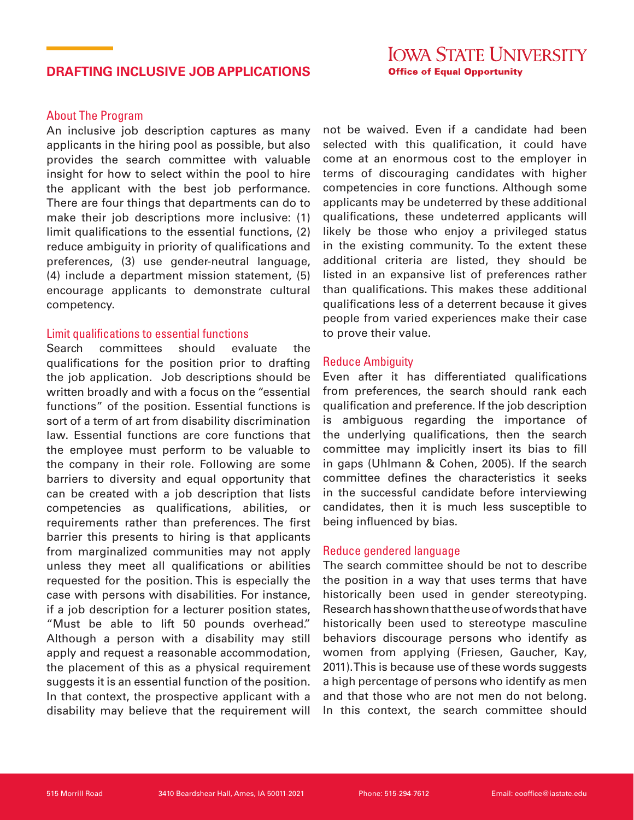# **DRAFTING INCLUSIVE JOB APPLICATIONS**

# About The Program

An inclusive job description captures as many applicants in the hiring pool as possible, but also provides the search committee with valuable insight for how to select within the pool to hire the applicant with the best job performance. There are four things that departments can do to make their job descriptions more inclusive: (1) limit qualifications to the essential functions, (2) reduce ambiguity in priority of qualifications and preferences, (3) use gender-neutral language, (4) include a department mission statement, (5) encourage applicants to demonstrate cultural competency.

## Limit qualifications to essential functions

Search committees should evaluate the qualifications for the position prior to drafting the job application. Job descriptions should be written broadly and with a focus on the "essential functions" of the position. Essential functions is sort of a term of art from disability discrimination law. Essential functions are core functions that the employee must perform to be valuable to the company in their role. Following are some barriers to diversity and equal opportunity that can be created with a job description that lists competencies as qualifications, abilities, or requirements rather than preferences. The first barrier this presents to hiring is that applicants from marginalized communities may not apply unless they meet all qualifications or abilities requested for the position. This is especially the case with persons with disabilities. For instance, if a job description for a lecturer position states, "Must be able to lift 50 pounds overhead." Although a person with a disability may still apply and request a reasonable accommodation, the placement of this as a physical requirement suggests it is an essential function of the position. In that context, the prospective applicant with a disability may believe that the requirement will

not be waived. Even if a candidate had been selected with this qualification, it could have come at an enormous cost to the employer in terms of discouraging candidates with higher competencies in core functions. Although some applicants may be undeterred by these additional qualifications, these undeterred applicants will likely be those who enjoy a privileged status in the existing community. To the extent these additional criteria are listed, they should be listed in an expansive list of preferences rather than qualifications. This makes these additional qualifications less of a deterrent because it gives people from varied experiences make their case to prove their value.

### Reduce Ambiguity

Even after it has differentiated qualifications from preferences, the search should rank each qualification and preference. If the job description is ambiguous regarding the importance of the underlying qualifications, then the search committee may implicitly insert its bias to fill in gaps (Uhlmann & Cohen, 2005). If the search committee defines the characteristics it seeks in the successful candidate before interviewing candidates, then it is much less susceptible to being influenced by bias.

#### Reduce gendered language

The search committee should be not to describe the position in a way that uses terms that have historically been used in gender stereotyping. Research has shown that the use of words that have historically been used to stereotype masculine behaviors discourage persons who identify as women from applying (Friesen, Gaucher, Kay, 2011). This is because use of these words suggests a high percentage of persons who identify as men and that those who are not men do not belong. In this context, the search committee should